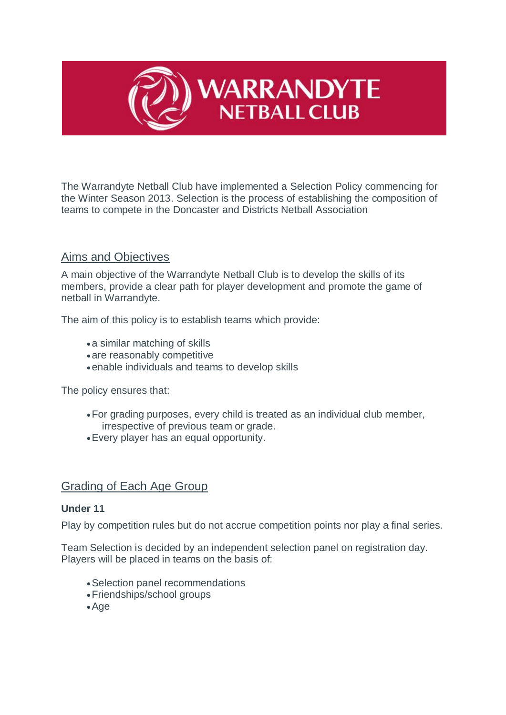

The Warrandyte Netball Club have implemented a Selection Policy commencing for the Winter Season 2013. Selection is the process of establishing the composition of teams to compete in the Doncaster and Districts Netball Association

# Aims and Objectives

A main objective of the Warrandyte Netball Club is to develop the skills of its members, provide a clear path for player development and promote the game of netball in Warrandyte.

The aim of this policy is to establish teams which provide:

- a similar matching of skills
- are reasonably competitive
- enable individuals and teams to develop skills

The policy ensures that:

- For grading purposes, every child is treated as an individual club member, irrespective of previous team or grade.
- Every player has an equal opportunity.

## Grading of Each Age Group

### **Under 11**

Play by competition rules but do not accrue competition points nor play a final series.

Team Selection is decided by an independent selection panel on registration day. Players will be placed in teams on the basis of:

- Selection panel recommendations
- Friendships/school groups
- Age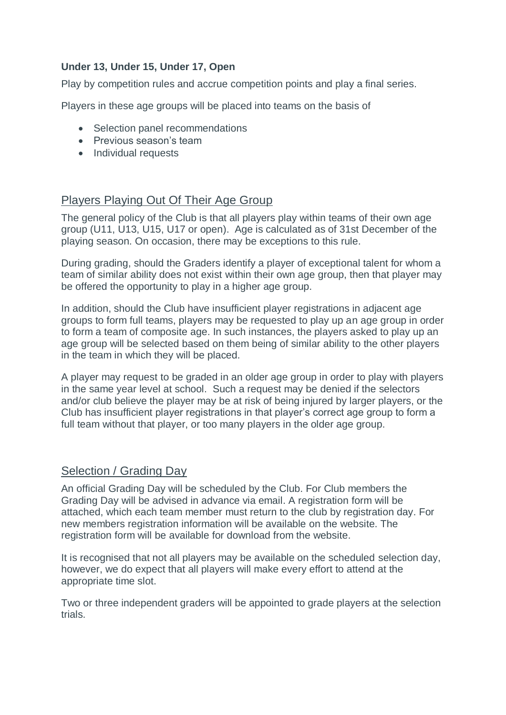### **Under 13, Under 15, Under 17, Open**

Play by competition rules and accrue competition points and play a final series.

Players in these age groups will be placed into teams on the basis of

- Selection panel recommendations
- Previous season's team
- Individual requests

## Players Playing Out Of Their Age Group

The general policy of the Club is that all players play within teams of their own age group (U11, U13, U15, U17 or open). Age is calculated as of 31st December of the playing season. On occasion, there may be exceptions to this rule.

During grading, should the Graders identify a player of exceptional talent for whom a team of similar ability does not exist within their own age group, then that player may be offered the opportunity to play in a higher age group.

In addition, should the Club have insufficient player registrations in adjacent age groups to form full teams, players may be requested to play up an age group in order to form a team of composite age. In such instances, the players asked to play up an age group will be selected based on them being of similar ability to the other players in the team in which they will be placed.

A player may request to be graded in an older age group in order to play with players in the same year level at school. Such a request may be denied if the selectors and/or club believe the player may be at risk of being injured by larger players, or the Club has insufficient player registrations in that player's correct age group to form a full team without that player, or too many players in the older age group.

## Selection / Grading Day

An official Grading Day will be scheduled by the Club. For Club members the Grading Day will be advised in advance via email. A registration form will be attached, which each team member must return to the club by registration day. For new members registration information will be available on the website. The registration form will be available for download from the website.

It is recognised that not all players may be available on the scheduled selection day, however, we do expect that all players will make every effort to attend at the appropriate time slot.

Two or three independent graders will be appointed to grade players at the selection trials.